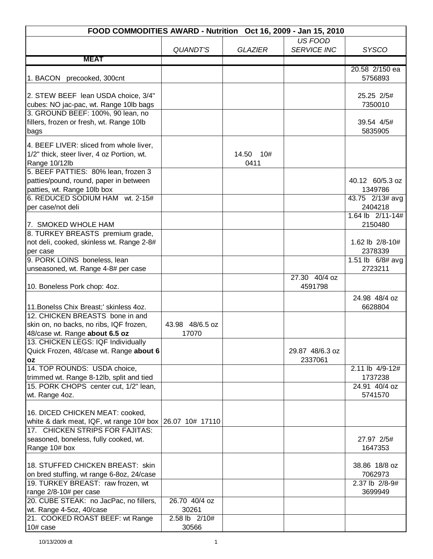| FOOD COMMODITIES AWARD - Nutrition Oct 16, 2009 - Jan 15, 2010                                                                                                   |                          |                   |                            |                                                           |
|------------------------------------------------------------------------------------------------------------------------------------------------------------------|--------------------------|-------------------|----------------------------|-----------------------------------------------------------|
|                                                                                                                                                                  |                          |                   | US FOOD                    |                                                           |
|                                                                                                                                                                  | <b>QUANDT'S</b>          | <b>GLAZIER</b>    | <b>SERVICE INC</b>         | <b>SYSCO</b>                                              |
| <b>MEAT</b>                                                                                                                                                      |                          |                   |                            |                                                           |
| 1. BACON precooked, 300cnt                                                                                                                                       |                          |                   |                            | 20.58 2/150 ea<br>5756893                                 |
| 2. STEW BEEF lean USDA choice, 3/4"<br>cubes: NO jac-pac, wt. Range 10lb bags                                                                                    |                          |                   |                            | 25.25 2/5#<br>7350010                                     |
| 3. GROUND BEEF: 100%, 90 lean, no<br>fillers, frozen or fresh, wt. Range 10lb<br>bags                                                                            |                          |                   |                            | 39.54 4/5#<br>5835905                                     |
| 4. BEEF LIVER: sliced from whole liver,<br>1/2" thick, steer liver, 4 oz Portion, wt.<br>Range 10/12lb                                                           |                          | 14.50 10#<br>0411 |                            |                                                           |
| 5. BEEF PATTIES: 80% lean, frozen 3<br>patties/pound, round, paper in between<br>patties, wt. Range 10lb box<br>6. REDUCED SODIUM HAM wt. 2-15#                  |                          |                   |                            | 40.12 60/5.3 oz<br>1349786<br>$43.75$ $2/13#$ avg         |
| per case/not deli                                                                                                                                                |                          |                   |                            | 2404218                                                   |
| 17. SMOKED WHOLE HAM                                                                                                                                             |                          |                   |                            | 1.64 lb 2/11-14#<br>2150480                               |
| 8. TURKEY BREASTS premium grade,<br>not deli, cooked, skinless wt. Range 2-8#<br>per case<br>9. PORK LOINS boneless, lean<br>unseasoned, wt. Range 4-8# per case |                          |                   |                            | 1.62 lb 2/8-10#<br>2378339<br>1.51 lb 6/8# avg<br>2723211 |
| 10. Boneless Pork chop: 4oz.                                                                                                                                     |                          |                   | 27.30 40/4 oz<br>4591798   |                                                           |
| 11. Bonelss Chix Breast;' skinless 4oz.                                                                                                                          |                          |                   |                            | 24.98 48/4 oz<br>6628804                                  |
| 12. CHICKEN BREASTS bone in and<br>skin on, no backs, no ribs, IQF frozen,<br>48/case wt. Range about 6.5 oz                                                     | 43.98 48/6.5 oz<br>17070 |                   |                            |                                                           |
| 13. CHICKEN LEGS: IQF Individually<br>Quick Frozen, 48/case wt. Range about 6<br><b>OZ</b>                                                                       |                          |                   | 29.87 48/6.3 oz<br>2337061 |                                                           |
| 14. TOP ROUNDS: USDA choice,<br>trimmed wt. Range 8-12lb, split and tied                                                                                         |                          |                   |                            | 2.11 lb 4/9-12#<br>1737238                                |
| 15. PORK CHOPS center cut, 1/2" lean,<br>wt. Range 4oz.                                                                                                          |                          |                   |                            | 24.91 40/4 oz<br>5741570                                  |
| 16. DICED CHICKEN MEAT: cooked,<br>white & dark meat, IQF, wt range $10\#$ box $\sqrt{26.07}$ 10# 17110<br>17. CHICKEN STRIPS FOR FAJITAS:                       |                          |                   |                            |                                                           |
| seasoned, boneless, fully cooked, wt.<br>Range 10# box                                                                                                           |                          |                   |                            | 27.97 2/5#<br>1647353                                     |
| 18. STUFFED CHICKEN BREAST: skin<br>on bred stuffing, wt range 6-8oz, 24/case                                                                                    |                          |                   |                            | 38.86 18/8 oz<br>7062973                                  |
| 19. TURKEY BREAST: raw frozen, wt<br>range 2/8-10# per case                                                                                                      |                          |                   |                            | 2.37 lb 2/8-9#<br>3699949                                 |
| 20. CUBE STEAK: no JacPac, no fillers,<br>wt. Range 4-5oz, 40/case                                                                                               | 26.70 40/4 oz<br>30261   |                   |                            |                                                           |
| 21. COOKED ROAST BEEF: wt Range<br>10# case                                                                                                                      | 2.58 lb 2/10#<br>30566   |                   |                            |                                                           |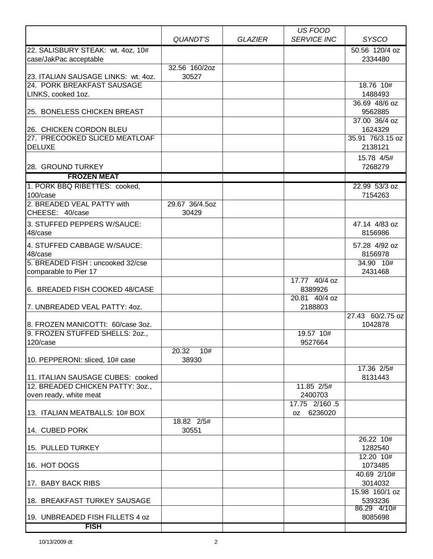|                                                                   |                         |                | US FOOD               |                           |
|-------------------------------------------------------------------|-------------------------|----------------|-----------------------|---------------------------|
|                                                                   | QUANDT'S                | <b>GLAZIER</b> | <b>SERVICE INC</b>    | <b>SYSCO</b>              |
| 22. SALISBURY STEAK: wt. 4oz, 10#<br>case/JakPac acceptable       |                         |                |                       | 50.56 120/4 oz<br>2334480 |
|                                                                   | 32.56 160/2oz           |                |                       |                           |
| 23. ITALIAN SAUSAGE LINKS: wt. 4oz.<br>24. PORK BREAKFAST SAUSAGE | 30527                   |                |                       | 18.76 10#                 |
| LINKS, cooked 1oz.                                                |                         |                |                       | 1488493                   |
|                                                                   |                         |                |                       | 36.69 48/6 oz             |
| 25. BONELESS CHICKEN BREAST                                       |                         |                |                       | 9562885                   |
| 26. CHICKEN CORDON BLEU                                           |                         |                |                       | 37.00 36/4 oz<br>1624329  |
| 27. PRECOOKED SLICED MEATLOAF                                     |                         |                |                       | 35.91 76/3.15 oz          |
| <b>DELUXE</b>                                                     |                         |                |                       | 2138121                   |
| 28. GROUND TURKEY                                                 |                         |                |                       | 15.78 4/5#<br>7268279     |
| <b>FROZEN MEAT</b>                                                |                         |                |                       |                           |
| 1. PORK BBQ RIBETTES: cooked,                                     |                         |                |                       | 22.99 53/3 oz             |
| 100/case                                                          |                         |                |                       | 7154263                   |
| 2. BREADED VEAL PATTY with<br>CHEESE: 40/case                     | 29.67 36/4.5oz<br>30429 |                |                       |                           |
| 3. STUFFED PEPPERS W/SAUCE:                                       |                         |                |                       | 47.14 4/83 oz             |
| 48/case                                                           |                         |                |                       | 8156986                   |
| 4. STUFFED CABBAGE W/SAUCE:                                       |                         |                |                       | 57.28 4/92 oz             |
| 48/case                                                           |                         |                |                       | 8156978                   |
| 5. BREADED FISH: uncooked 32/cse<br>comparable to Pier 17         |                         |                |                       | 34.90 10#<br>2431468      |
|                                                                   |                         |                | 17.77 40/4 oz         |                           |
| 6. BREADED FISH COOKED 48/CASE                                    |                         |                | 8389926               |                           |
|                                                                   |                         |                | 20.81 40/4 oz         |                           |
| 7. UNBREADED VEAL PATTY: 40Z.                                     |                         |                | 2188803               | 27.43 60/2.75 oz          |
| 8. FROZEN MANICOTTI: 60/case 3oz.                                 |                         |                |                       | 1042878                   |
| 9. FROZEN STUFFED SHELLS: 20Z.,                                   |                         |                | 19.57 10#             |                           |
| 120/case                                                          |                         |                | 9527664               |                           |
| 10. PEPPERONI: sliced, 10# case                                   | 20.32 10#<br>38930      |                |                       |                           |
|                                                                   |                         |                |                       | 17.36 2/5#                |
| 11. ITALIAN SAUSAGE CUBES: cooked                                 |                         |                |                       | 8131443                   |
| 12. BREADED CHICKEN PATTY: 30Z.,<br>oven ready, white meat        |                         |                | 11.85 2/5#<br>2400703 |                           |
|                                                                   |                         |                | 17.75 2/160.5         |                           |
| 13. ITALIAN MEATBALLS: 10# BOX                                    |                         |                | 6236020<br>OZ .       |                           |
|                                                                   | 18.82 2/5#              |                |                       |                           |
| 14. CUBED PORK                                                    | 30551                   |                |                       |                           |
| 15. PULLED TURKEY                                                 |                         |                |                       | 26.22 10#<br>1282540      |
|                                                                   |                         |                |                       | 12.20 10#                 |
| 16. HOT DOGS                                                      |                         |                |                       | 1073485                   |
| 17. BABY BACK RIBS                                                |                         |                |                       | 40.69 2/10#<br>3014032    |
|                                                                   |                         |                |                       | 15.98 160/1 oz            |
| 18. BREAKFAST TURKEY SAUSAGE                                      |                         |                |                       | 5393236<br>86.29 4/10#    |
| 19. UNBREADED FISH FILLETS 4 oz                                   |                         |                |                       | 8085698                   |
| <b>FISH</b>                                                       |                         |                |                       |                           |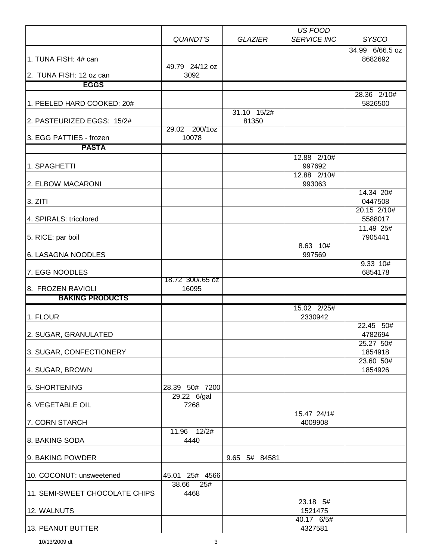|                                |                        |                      | US FOOD                |                                     |
|--------------------------------|------------------------|----------------------|------------------------|-------------------------------------|
|                                | QUANDT'S               | <b>GLAZIER</b>       | <b>SERVICE INC</b>     | <b>SYSCO</b><br>34.99 6/66.5 oz     |
| 1. TUNA FISH: 4# can           |                        |                      |                        | 8682692                             |
| 2. TUNA FISH: 12 oz can        | 49.79 24/12 oz<br>3092 |                      |                        |                                     |
| <b>EGGS</b>                    |                        |                      |                        |                                     |
| 1. PEELED HARD COOKED: 20#     |                        |                      |                        | 28.36 2/10#<br>5826500              |
| 2. PASTEURIZED EGGS: 15/2#     |                        | 31.10 15/2#<br>81350 |                        |                                     |
| 3. EGG PATTIES - frozen        | 29.02 200/1oz<br>10078 |                      |                        |                                     |
| <b>PASTA</b>                   |                        |                      |                        |                                     |
| 1. SPAGHETTI                   |                        |                      | 12.88 2/10#<br>997692  |                                     |
| 2. ELBOW MACARONI              |                        |                      | 12.88 2/10#<br>993063  |                                     |
| 3. ZITI                        |                        |                      |                        | 14.34 20#<br>0447508                |
| 4. SPIRALS: tricolored         |                        |                      |                        | 20.15 2/10#<br>5588017<br>11.49 25# |
| 5. RICE: par boil              |                        |                      |                        | 7905441                             |
| 6. LASAGNA NOODLES             |                        |                      | 8.63 10#<br>997569     |                                     |
| 7. EGG NOODLES                 | 18.72 300/.65 oz       |                      |                        | 9.33 10#<br>6854178                 |
| 8. FROZEN RAVIOLI              | 16095                  |                      |                        |                                     |
| <b>BAKING PRODUCTS</b>         |                        |                      |                        |                                     |
| 1. FLOUR                       |                        |                      | 15.02 2/25#<br>2330942 |                                     |
| 2. SUGAR, GRANULATED           |                        |                      |                        | 22.45 50#<br>4782694                |
| 3. SUGAR, CONFECTIONERY        |                        |                      |                        | 25.27 50#<br>1854918                |
| 4. SUGAR, BROWN                |                        |                      |                        | 23.60 50#<br>1854926                |
| 5. SHORTENING                  | 28.39 50# 7200         |                      |                        |                                     |
| 6. VEGETABLE OIL               | 29.22 6/gal<br>7268    |                      |                        |                                     |
| 7. CORN STARCH                 |                        |                      | 15.47 24/1#<br>4009908 |                                     |
| 8. BAKING SODA                 | 12/2#<br>11.96<br>4440 |                      |                        |                                     |
| 9. BAKING POWDER               |                        | 9.65 5# 84581        |                        |                                     |
| 10. COCONUT: unsweetened       | 45.01 25# 4566         |                      |                        |                                     |
| 11. SEMI-SWEET CHOCOLATE CHIPS | 38.66<br>25#<br>4468   |                      |                        |                                     |
| 12. WALNUTS                    |                        |                      | 23.18 5#<br>1521475    |                                     |
| 13. PEANUT BUTTER              |                        |                      | 40.17 6/5#<br>4327581  |                                     |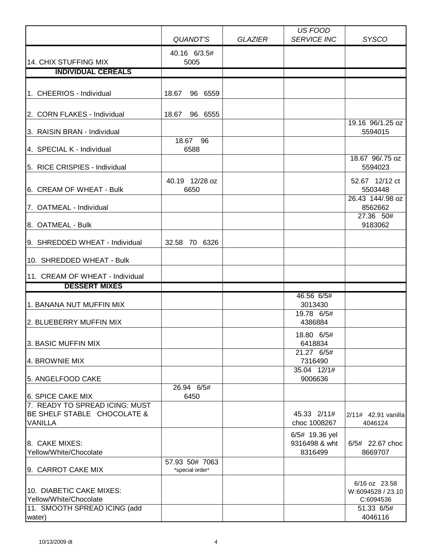|                                                                                    | QUANDT'S                          | <b>GLAZIER</b> | US FOOD<br><b>SERVICE INC</b>              | <b>SYSCO</b>                                                  |
|------------------------------------------------------------------------------------|-----------------------------------|----------------|--------------------------------------------|---------------------------------------------------------------|
| 14. CHIX STUFFING MIX                                                              | 40.16 6/3.5#<br>5005              |                |                                            |                                                               |
| <b>INDIVIDUAL CEREALS</b>                                                          |                                   |                |                                            |                                                               |
|                                                                                    |                                   |                |                                            |                                                               |
| 1. CHEERIOS - Individual                                                           | 18.67<br>96 6559                  |                |                                            |                                                               |
| 2. CORN FLAKES - Individual                                                        | 18.67<br>96 6555                  |                |                                            |                                                               |
| 3. RAISIN BRAN - Individual                                                        |                                   |                |                                            | 19.16 96/1.25 oz<br>5594015                                   |
| 4. SPECIAL K - Individual                                                          | 18.67 96<br>6588                  |                |                                            |                                                               |
| 5. RICE CRISPIES - Individual                                                      |                                   |                |                                            | 18.67 96/.75 oz<br>5594023                                    |
| 6. CREAM OF WHEAT - Bulk                                                           | 40.19 12/28 oz<br>6650            |                |                                            | 52.67 12/12 ct<br>5503448<br>26.43 144/.98 oz                 |
| 7. OATMEAL - Individual<br>8. OATMEAL - Bulk                                       |                                   |                |                                            | 8562662<br>27.36 50#<br>9183062                               |
|                                                                                    |                                   |                |                                            |                                                               |
| 9. SHREDDED WHEAT - Individual                                                     | 32.58 70 6326                     |                |                                            |                                                               |
| 10. SHREDDED WHEAT - Bulk                                                          |                                   |                |                                            |                                                               |
| 11. CREAM OF WHEAT - Individual                                                    |                                   |                |                                            |                                                               |
| <b>DESSERT MIXES</b>                                                               |                                   |                |                                            |                                                               |
| 1. BANANA NUT MUFFIN MIX                                                           |                                   |                | 46.56 6/5#<br>3013430                      |                                                               |
| 2. BLUEBERRY MUFFIN MIX                                                            |                                   |                | 19.78 6/5#<br>4386884                      |                                                               |
| 3. BASIC MUFFIN MIX                                                                |                                   |                | 18.80 6/5#<br>6418834<br>21.27 6/5#        |                                                               |
| 4. BROWNIE MIX                                                                     |                                   |                | 7316490                                    |                                                               |
| 5. ANGELFOOD CAKE                                                                  |                                   |                | 35.04 12/1#<br>9006636                     |                                                               |
| 6. SPICE CAKE MIX                                                                  | 26.94 6/5#<br>6450                |                |                                            |                                                               |
| 7. READY TO SPREAD ICING: MUST<br>BE SHELF STABLE CHOCOLATE &<br><b>VANILLA</b>    |                                   |                | 45.33 2/11#<br>choc 1008267                | 2/11# 42.91 vanilla<br>4046124                                |
| 8. CAKE MIXES:<br>Yellow/White/Chocolate                                           |                                   |                | 6/5# 19.36 yel<br>9316498 & wht<br>8316499 | 6/5# 22.67 choc<br>8669707                                    |
| 9. CARROT CAKE MIX                                                                 | 57.93 50# 7063<br>*special order* |                |                                            |                                                               |
| 10. DIABETIC CAKE MIXES:<br>Yellow/White/Chocolate<br>11. SMOOTH SPREAD ICING (add |                                   |                |                                            | 6/16 oz 23.58<br>W:6094528 / 23.10<br>C:6094536<br>51.33 6/5# |
| water)                                                                             |                                   |                |                                            | 4046116                                                       |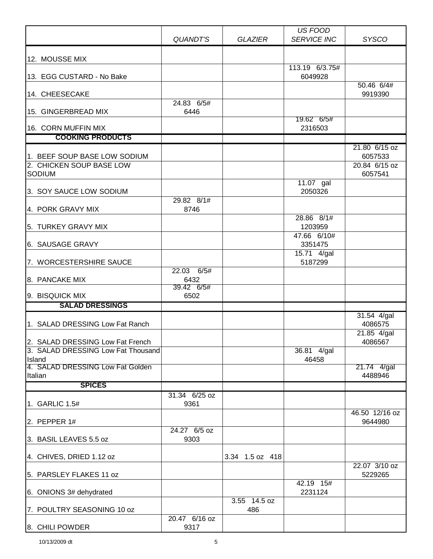| <b>SERVICE INC</b><br><b>SYSCO</b><br>QUANDT'S<br><b>GLAZIER</b><br>12. MOUSSE MIX<br>113.19 6/3.75#<br>13. EGG CUSTARD - No Bake<br>6049928<br>50.46 6/4#<br>14. CHEESECAKE<br>9919390<br>24.83 6/5#<br>15. GINGERBREAD MIX<br>6446<br>19.62 6/5#<br>16. CORN MUFFIN MIX<br>2316503<br><b>COOKING PRODUCTS</b><br>21.80 6/15 oz<br>1. BEEF SOUP BASE LOW SODIUM<br>6057533<br>2. CHICKEN SOUP BASE LOW<br>20.84 6/15 oz<br><b>SODIUM</b><br>6057541<br>11.07 gal<br>2050326<br>3. SOY SAUCE LOW SODIUM<br>29.82 8/1#<br>4. PORK GRAVY MIX<br>8746<br>28.86 8/1#<br>5. TURKEY GRAVY MIX<br>1203959<br>47.66 6/10#<br>6. SAUSAGE GRAVY<br>3351475<br>$15.71$ 4/gal<br>7. WORCESTERSHIRE SAUCE<br>5187299<br>22.03 6/5#<br>8. PANCAKE MIX<br>6432<br>39.42 6/5#<br>9. BISQUICK MIX<br>6502<br><b>SALAD DRESSINGS</b><br>31.54 4/gal<br>1. SALAD DRESSING Low Fat Ranch<br>4086575<br>21.85 4/gal<br>2. SALAD DRESSING Low Fat French<br>4086567<br>3. SALAD DRESSING Low Fat Thousand<br>36.81 4/gal<br>46458<br>Island<br>4. SALAD DRESSING Low Fat Golden<br>21.74 4/gal<br>4488946<br>Italian<br><b>SPICES</b><br>31.34 6/25 oz<br>1. GARLIC 1.5#<br>9361<br>46.50 12/16 oz<br>2. PEPPER 1#<br>9644980<br>24.27 6/5 oz<br>3. BASIL LEAVES 5.5 oz<br>9303<br>3.34 1.5 oz 418<br>4. CHIVES, DRIED 1.12 oz<br>22.07 3/10 oz<br>5. PARSLEY FLAKES 11 oz<br>5229265<br>42.19 15#<br>6. ONIONS 3# dehydrated<br>2231124<br>3.55 14.5 oz<br>7. POULTRY SEASONING 10 oz<br>486<br>20.47 6/16 oz |                 |      | US FOOD |  |
|------------------------------------------------------------------------------------------------------------------------------------------------------------------------------------------------------------------------------------------------------------------------------------------------------------------------------------------------------------------------------------------------------------------------------------------------------------------------------------------------------------------------------------------------------------------------------------------------------------------------------------------------------------------------------------------------------------------------------------------------------------------------------------------------------------------------------------------------------------------------------------------------------------------------------------------------------------------------------------------------------------------------------------------------------------------------------------------------------------------------------------------------------------------------------------------------------------------------------------------------------------------------------------------------------------------------------------------------------------------------------------------------------------------------------------------------------------------------------------------|-----------------|------|---------|--|
|                                                                                                                                                                                                                                                                                                                                                                                                                                                                                                                                                                                                                                                                                                                                                                                                                                                                                                                                                                                                                                                                                                                                                                                                                                                                                                                                                                                                                                                                                          |                 |      |         |  |
|                                                                                                                                                                                                                                                                                                                                                                                                                                                                                                                                                                                                                                                                                                                                                                                                                                                                                                                                                                                                                                                                                                                                                                                                                                                                                                                                                                                                                                                                                          |                 |      |         |  |
|                                                                                                                                                                                                                                                                                                                                                                                                                                                                                                                                                                                                                                                                                                                                                                                                                                                                                                                                                                                                                                                                                                                                                                                                                                                                                                                                                                                                                                                                                          |                 |      |         |  |
|                                                                                                                                                                                                                                                                                                                                                                                                                                                                                                                                                                                                                                                                                                                                                                                                                                                                                                                                                                                                                                                                                                                                                                                                                                                                                                                                                                                                                                                                                          |                 |      |         |  |
|                                                                                                                                                                                                                                                                                                                                                                                                                                                                                                                                                                                                                                                                                                                                                                                                                                                                                                                                                                                                                                                                                                                                                                                                                                                                                                                                                                                                                                                                                          |                 |      |         |  |
|                                                                                                                                                                                                                                                                                                                                                                                                                                                                                                                                                                                                                                                                                                                                                                                                                                                                                                                                                                                                                                                                                                                                                                                                                                                                                                                                                                                                                                                                                          |                 |      |         |  |
|                                                                                                                                                                                                                                                                                                                                                                                                                                                                                                                                                                                                                                                                                                                                                                                                                                                                                                                                                                                                                                                                                                                                                                                                                                                                                                                                                                                                                                                                                          |                 |      |         |  |
|                                                                                                                                                                                                                                                                                                                                                                                                                                                                                                                                                                                                                                                                                                                                                                                                                                                                                                                                                                                                                                                                                                                                                                                                                                                                                                                                                                                                                                                                                          |                 |      |         |  |
|                                                                                                                                                                                                                                                                                                                                                                                                                                                                                                                                                                                                                                                                                                                                                                                                                                                                                                                                                                                                                                                                                                                                                                                                                                                                                                                                                                                                                                                                                          |                 |      |         |  |
|                                                                                                                                                                                                                                                                                                                                                                                                                                                                                                                                                                                                                                                                                                                                                                                                                                                                                                                                                                                                                                                                                                                                                                                                                                                                                                                                                                                                                                                                                          |                 |      |         |  |
|                                                                                                                                                                                                                                                                                                                                                                                                                                                                                                                                                                                                                                                                                                                                                                                                                                                                                                                                                                                                                                                                                                                                                                                                                                                                                                                                                                                                                                                                                          |                 |      |         |  |
|                                                                                                                                                                                                                                                                                                                                                                                                                                                                                                                                                                                                                                                                                                                                                                                                                                                                                                                                                                                                                                                                                                                                                                                                                                                                                                                                                                                                                                                                                          |                 |      |         |  |
|                                                                                                                                                                                                                                                                                                                                                                                                                                                                                                                                                                                                                                                                                                                                                                                                                                                                                                                                                                                                                                                                                                                                                                                                                                                                                                                                                                                                                                                                                          |                 |      |         |  |
|                                                                                                                                                                                                                                                                                                                                                                                                                                                                                                                                                                                                                                                                                                                                                                                                                                                                                                                                                                                                                                                                                                                                                                                                                                                                                                                                                                                                                                                                                          |                 |      |         |  |
|                                                                                                                                                                                                                                                                                                                                                                                                                                                                                                                                                                                                                                                                                                                                                                                                                                                                                                                                                                                                                                                                                                                                                                                                                                                                                                                                                                                                                                                                                          |                 |      |         |  |
|                                                                                                                                                                                                                                                                                                                                                                                                                                                                                                                                                                                                                                                                                                                                                                                                                                                                                                                                                                                                                                                                                                                                                                                                                                                                                                                                                                                                                                                                                          |                 |      |         |  |
|                                                                                                                                                                                                                                                                                                                                                                                                                                                                                                                                                                                                                                                                                                                                                                                                                                                                                                                                                                                                                                                                                                                                                                                                                                                                                                                                                                                                                                                                                          |                 |      |         |  |
|                                                                                                                                                                                                                                                                                                                                                                                                                                                                                                                                                                                                                                                                                                                                                                                                                                                                                                                                                                                                                                                                                                                                                                                                                                                                                                                                                                                                                                                                                          |                 |      |         |  |
|                                                                                                                                                                                                                                                                                                                                                                                                                                                                                                                                                                                                                                                                                                                                                                                                                                                                                                                                                                                                                                                                                                                                                                                                                                                                                                                                                                                                                                                                                          |                 |      |         |  |
|                                                                                                                                                                                                                                                                                                                                                                                                                                                                                                                                                                                                                                                                                                                                                                                                                                                                                                                                                                                                                                                                                                                                                                                                                                                                                                                                                                                                                                                                                          |                 |      |         |  |
|                                                                                                                                                                                                                                                                                                                                                                                                                                                                                                                                                                                                                                                                                                                                                                                                                                                                                                                                                                                                                                                                                                                                                                                                                                                                                                                                                                                                                                                                                          |                 |      |         |  |
|                                                                                                                                                                                                                                                                                                                                                                                                                                                                                                                                                                                                                                                                                                                                                                                                                                                                                                                                                                                                                                                                                                                                                                                                                                                                                                                                                                                                                                                                                          |                 |      |         |  |
|                                                                                                                                                                                                                                                                                                                                                                                                                                                                                                                                                                                                                                                                                                                                                                                                                                                                                                                                                                                                                                                                                                                                                                                                                                                                                                                                                                                                                                                                                          |                 |      |         |  |
|                                                                                                                                                                                                                                                                                                                                                                                                                                                                                                                                                                                                                                                                                                                                                                                                                                                                                                                                                                                                                                                                                                                                                                                                                                                                                                                                                                                                                                                                                          |                 |      |         |  |
|                                                                                                                                                                                                                                                                                                                                                                                                                                                                                                                                                                                                                                                                                                                                                                                                                                                                                                                                                                                                                                                                                                                                                                                                                                                                                                                                                                                                                                                                                          |                 |      |         |  |
|                                                                                                                                                                                                                                                                                                                                                                                                                                                                                                                                                                                                                                                                                                                                                                                                                                                                                                                                                                                                                                                                                                                                                                                                                                                                                                                                                                                                                                                                                          |                 |      |         |  |
|                                                                                                                                                                                                                                                                                                                                                                                                                                                                                                                                                                                                                                                                                                                                                                                                                                                                                                                                                                                                                                                                                                                                                                                                                                                                                                                                                                                                                                                                                          |                 |      |         |  |
|                                                                                                                                                                                                                                                                                                                                                                                                                                                                                                                                                                                                                                                                                                                                                                                                                                                                                                                                                                                                                                                                                                                                                                                                                                                                                                                                                                                                                                                                                          |                 |      |         |  |
|                                                                                                                                                                                                                                                                                                                                                                                                                                                                                                                                                                                                                                                                                                                                                                                                                                                                                                                                                                                                                                                                                                                                                                                                                                                                                                                                                                                                                                                                                          |                 |      |         |  |
|                                                                                                                                                                                                                                                                                                                                                                                                                                                                                                                                                                                                                                                                                                                                                                                                                                                                                                                                                                                                                                                                                                                                                                                                                                                                                                                                                                                                                                                                                          |                 |      |         |  |
|                                                                                                                                                                                                                                                                                                                                                                                                                                                                                                                                                                                                                                                                                                                                                                                                                                                                                                                                                                                                                                                                                                                                                                                                                                                                                                                                                                                                                                                                                          |                 |      |         |  |
|                                                                                                                                                                                                                                                                                                                                                                                                                                                                                                                                                                                                                                                                                                                                                                                                                                                                                                                                                                                                                                                                                                                                                                                                                                                                                                                                                                                                                                                                                          |                 |      |         |  |
|                                                                                                                                                                                                                                                                                                                                                                                                                                                                                                                                                                                                                                                                                                                                                                                                                                                                                                                                                                                                                                                                                                                                                                                                                                                                                                                                                                                                                                                                                          |                 |      |         |  |
|                                                                                                                                                                                                                                                                                                                                                                                                                                                                                                                                                                                                                                                                                                                                                                                                                                                                                                                                                                                                                                                                                                                                                                                                                                                                                                                                                                                                                                                                                          |                 |      |         |  |
|                                                                                                                                                                                                                                                                                                                                                                                                                                                                                                                                                                                                                                                                                                                                                                                                                                                                                                                                                                                                                                                                                                                                                                                                                                                                                                                                                                                                                                                                                          |                 |      |         |  |
|                                                                                                                                                                                                                                                                                                                                                                                                                                                                                                                                                                                                                                                                                                                                                                                                                                                                                                                                                                                                                                                                                                                                                                                                                                                                                                                                                                                                                                                                                          |                 |      |         |  |
|                                                                                                                                                                                                                                                                                                                                                                                                                                                                                                                                                                                                                                                                                                                                                                                                                                                                                                                                                                                                                                                                                                                                                                                                                                                                                                                                                                                                                                                                                          |                 |      |         |  |
|                                                                                                                                                                                                                                                                                                                                                                                                                                                                                                                                                                                                                                                                                                                                                                                                                                                                                                                                                                                                                                                                                                                                                                                                                                                                                                                                                                                                                                                                                          |                 |      |         |  |
|                                                                                                                                                                                                                                                                                                                                                                                                                                                                                                                                                                                                                                                                                                                                                                                                                                                                                                                                                                                                                                                                                                                                                                                                                                                                                                                                                                                                                                                                                          |                 |      |         |  |
|                                                                                                                                                                                                                                                                                                                                                                                                                                                                                                                                                                                                                                                                                                                                                                                                                                                                                                                                                                                                                                                                                                                                                                                                                                                                                                                                                                                                                                                                                          |                 |      |         |  |
|                                                                                                                                                                                                                                                                                                                                                                                                                                                                                                                                                                                                                                                                                                                                                                                                                                                                                                                                                                                                                                                                                                                                                                                                                                                                                                                                                                                                                                                                                          |                 |      |         |  |
|                                                                                                                                                                                                                                                                                                                                                                                                                                                                                                                                                                                                                                                                                                                                                                                                                                                                                                                                                                                                                                                                                                                                                                                                                                                                                                                                                                                                                                                                                          |                 |      |         |  |
|                                                                                                                                                                                                                                                                                                                                                                                                                                                                                                                                                                                                                                                                                                                                                                                                                                                                                                                                                                                                                                                                                                                                                                                                                                                                                                                                                                                                                                                                                          |                 |      |         |  |
|                                                                                                                                                                                                                                                                                                                                                                                                                                                                                                                                                                                                                                                                                                                                                                                                                                                                                                                                                                                                                                                                                                                                                                                                                                                                                                                                                                                                                                                                                          |                 |      |         |  |
|                                                                                                                                                                                                                                                                                                                                                                                                                                                                                                                                                                                                                                                                                                                                                                                                                                                                                                                                                                                                                                                                                                                                                                                                                                                                                                                                                                                                                                                                                          |                 |      |         |  |
|                                                                                                                                                                                                                                                                                                                                                                                                                                                                                                                                                                                                                                                                                                                                                                                                                                                                                                                                                                                                                                                                                                                                                                                                                                                                                                                                                                                                                                                                                          |                 |      |         |  |
|                                                                                                                                                                                                                                                                                                                                                                                                                                                                                                                                                                                                                                                                                                                                                                                                                                                                                                                                                                                                                                                                                                                                                                                                                                                                                                                                                                                                                                                                                          |                 |      |         |  |
|                                                                                                                                                                                                                                                                                                                                                                                                                                                                                                                                                                                                                                                                                                                                                                                                                                                                                                                                                                                                                                                                                                                                                                                                                                                                                                                                                                                                                                                                                          | 8. CHILI POWDER | 9317 |         |  |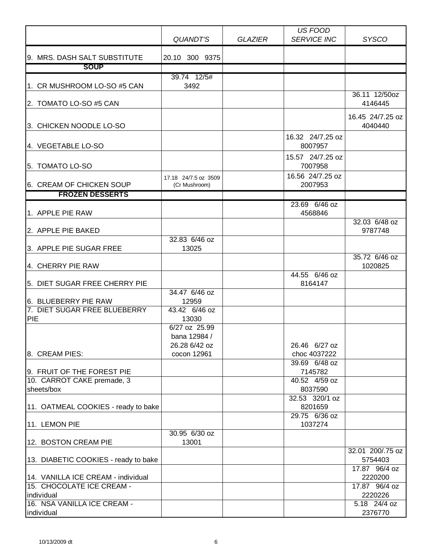|                                                                 |                                                               |                | US FOOD<br><b>SERVICE INC</b>                             |                                           |
|-----------------------------------------------------------------|---------------------------------------------------------------|----------------|-----------------------------------------------------------|-------------------------------------------|
|                                                                 | QUANDT'S                                                      | <b>GLAZIER</b> |                                                           | <b>SYSCO</b>                              |
| 9. MRS. DASH SALT SUBSTITUTE                                    | 20.10 300 9375                                                |                |                                                           |                                           |
| <b>SOUP</b>                                                     |                                                               |                |                                                           |                                           |
| 1. CR MUSHROOM LO-SO #5 CAN                                     | 39.74 12/5#<br>3492                                           |                |                                                           |                                           |
| 2. TOMATO LO-SO #5 CAN                                          |                                                               |                |                                                           | 36.11 12/50oz<br>4146445                  |
| 3. CHICKEN NOODLE LO-SO                                         |                                                               |                |                                                           | 16.45 24/7.25 oz<br>4040440               |
|                                                                 |                                                               |                | 16.32 24/7.25 oz                                          |                                           |
| 4. VEGETABLE LO-SO                                              |                                                               |                | 8007957                                                   |                                           |
| 5. TOMATO LO-SO                                                 |                                                               |                | 15.57 24/7.25 oz<br>7007958                               |                                           |
| 6. CREAM OF CHICKEN SOUP                                        | 17.18 24/7.5 oz 3509<br>(Cr Mushroom)                         |                | 16.56 24/7.25 oz<br>2007953                               |                                           |
| <b>FROZEN DESSERTS</b>                                          |                                                               |                |                                                           |                                           |
| 1. APPLE PIE RAW                                                |                                                               |                | 23.69 6/46 oz<br>4568846                                  |                                           |
| 2. APPLE PIE BAKED                                              |                                                               |                |                                                           | 32.03 6/48 oz<br>9787748                  |
| 3. APPLE PIE SUGAR FREE                                         | 32.83 6/46 oz<br>13025                                        |                |                                                           |                                           |
| 4. CHERRY PIE RAW                                               |                                                               |                |                                                           | 35.72 6/46 oz<br>1020825                  |
| 5. DIET SUGAR FREE CHERRY PIE                                   |                                                               |                | 44.55 6/46 oz<br>8164147                                  |                                           |
| 6. BLUEBERRY PIE RAW<br>7. DIET SUGAR FREE BLUEBERRY<br>PIE     | 34.47 6/46 oz<br>12959<br>43.42 6/46 oz<br>13030              |                |                                                           |                                           |
| 8. CREAM PIES:<br>9. FRUIT OF THE FOREST PIE                    | 6/27 oz 25.99<br>bana 12984 /<br>26.28 6/42 oz<br>cocon 12961 |                | 26.46 6/27 oz<br>choc 4037222<br>39.69 6/48 oz<br>7145782 |                                           |
| 10. CARROT CAKE premade, 3<br>sheets/box                        |                                                               |                | 40.52 4/59 oz<br>8037590                                  |                                           |
| 11. OATMEAL COOKIES - ready to bake                             |                                                               |                | 32.53 320/1 oz<br>8201659                                 |                                           |
| 11. LEMON PIE                                                   |                                                               |                | 29.75 6/36 oz<br>1037274                                  |                                           |
| 12. BOSTON CREAM PIE                                            | 30.95 6/30 oz<br>13001                                        |                |                                                           |                                           |
| 13. DIABETIC COOKIES - ready to bake                            |                                                               |                |                                                           | 32.01 200/.75 oz<br>5754403               |
| 14. VANILLA ICE CREAM - individual<br>15. CHOCOLATE ICE CREAM - |                                                               |                |                                                           | 17.87 96/4 oz<br>2220200<br>17.87 96/4 oz |
| individual                                                      |                                                               |                |                                                           | 2220226                                   |
| 16. NSA VANILLA ICE CREAM -<br>individual                       |                                                               |                |                                                           | 5.18 24/4 oz<br>2376770                   |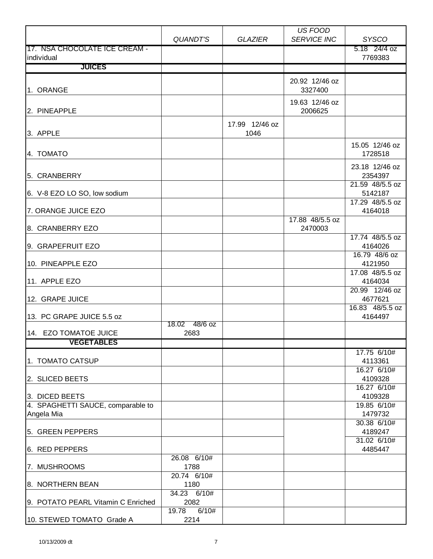|                                                     |                     |                | US FOOD            |                           |
|-----------------------------------------------------|---------------------|----------------|--------------------|---------------------------|
|                                                     | QUANDT'S            | <b>GLAZIER</b> | <b>SERVICE INC</b> | <b>SYSCO</b>              |
| 17. NSA CHOCOLATE ICE CREAM -                       |                     |                |                    | 5.18 24/4 oz              |
| individual                                          |                     |                |                    | 7769383                   |
| <b>JUICES</b>                                       |                     |                |                    |                           |
|                                                     |                     |                | 20.92 12/46 oz     |                           |
| 1. ORANGE                                           |                     |                | 3327400            |                           |
|                                                     |                     |                | 19.63 12/46 oz     |                           |
| 2. PINEAPPLE                                        |                     |                | 2006625            |                           |
|                                                     |                     | 17.99 12/46 oz |                    |                           |
| 3. APPLE                                            |                     | 1046           |                    |                           |
|                                                     |                     |                |                    | 15.05 12/46 oz            |
| 4. TOMATO                                           |                     |                |                    | 1728518                   |
|                                                     |                     |                |                    |                           |
| 5. CRANBERRY                                        |                     |                |                    | 23.18 12/46 oz<br>2354397 |
|                                                     |                     |                |                    | 21.59 48/5.5 oz           |
| 6. V-8 EZO LO SO, low sodium                        |                     |                |                    | 5142187                   |
|                                                     |                     |                |                    | 17.29 48/5.5 oz           |
| 7. ORANGE JUICE EZO                                 |                     |                |                    | 4164018                   |
|                                                     |                     |                | 17.88 48/5.5 oz    |                           |
| 8. CRANBERRY EZO                                    |                     |                | 2470003            |                           |
|                                                     |                     |                |                    | 17.74 48/5.5 oz           |
| 9. GRAPEFRUIT EZO                                   |                     |                |                    | 4164026<br>16.79 48/6 oz  |
| 10. PINEAPPLE EZO                                   |                     |                |                    | 4121950                   |
|                                                     |                     |                |                    | 17.08 48/5.5 oz           |
| 11. APPLE EZO                                       |                     |                |                    | 4164034                   |
|                                                     |                     |                |                    | 20.99 12/46 oz            |
| 12. GRAPE JUICE                                     |                     |                |                    | 4677621                   |
|                                                     |                     |                |                    | 16.83 48/5.5 oz           |
| 13. PC GRAPE JUICE 5.5 oz                           | 18.02 48/6 oz       |                |                    | 4164497                   |
| 14. EZO TOMATOE JUICE                               | 2683                |                |                    |                           |
| <b>VEGETABLES</b>                                   |                     |                |                    |                           |
|                                                     |                     |                |                    | 17.75 6/10#               |
| 1. TOMATO CATSUP                                    |                     |                |                    | 4113361                   |
|                                                     |                     |                |                    | 16.27 6/10#               |
| 2. SLICED BEETS                                     |                     |                |                    | 4109328                   |
|                                                     |                     |                |                    | 16.27 6/10#               |
| 3. DICED BEETS<br>4. SPAGHETTI SAUCE, comparable to |                     |                |                    | 4109328<br>19.85 6/10#    |
| Angela Mia                                          |                     |                |                    | 1479732                   |
|                                                     |                     |                |                    | 30.38 6/10#               |
| 5. GREEN PEPPERS                                    |                     |                |                    | 4189247                   |
|                                                     |                     |                |                    | 31.02 6/10#               |
| 6. RED PEPPERS                                      |                     |                |                    | 4485447                   |
|                                                     | 26.08 6/10#         |                |                    |                           |
| 7. MUSHROOMS                                        | 1788                |                |                    |                           |
| 8. NORTHERN BEAN                                    | 20.74 6/10#<br>1180 |                |                    |                           |
|                                                     | 34.23 6/10#         |                |                    |                           |
| 9. POTATO PEARL Vitamin C Enriched                  | 2082                |                |                    |                           |
|                                                     | 6/10#<br>19.78      |                |                    |                           |
| 10. STEWED TOMATO Grade A                           | 2214                |                |                    |                           |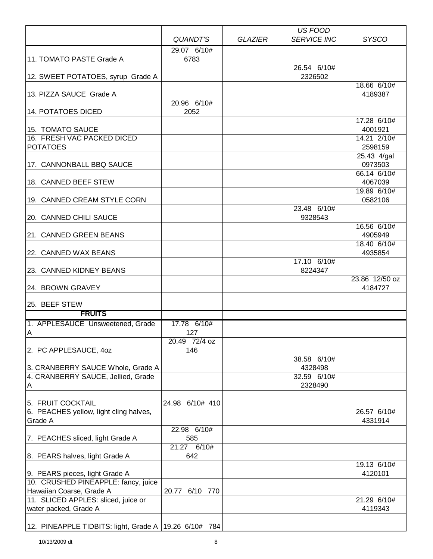|                                                                       |                      |                | US FOOD                |                        |
|-----------------------------------------------------------------------|----------------------|----------------|------------------------|------------------------|
|                                                                       | QUANDT'S             | <b>GLAZIER</b> | <b>SERVICE INC</b>     | <b>SYSCO</b>           |
| 11. TOMATO PASTE Grade A                                              | 29.07 6/10#<br>6783  |                |                        |                        |
|                                                                       |                      |                | 26.54 6/10#            |                        |
| 12. SWEET POTATOES, syrup Grade A                                     |                      |                | 2326502                | 18.66 6/10#            |
| 13. PIZZA SAUCE Grade A                                               |                      |                |                        | 4189387                |
| 14. POTATOES DICED                                                    | 20.96 6/10#<br>2052  |                |                        |                        |
|                                                                       |                      |                |                        | 17.28 6/10#            |
| 15. TOMATO SAUCE<br>16. FRESH VAC PACKED DICED                        |                      |                |                        | 4001921<br>14.21 2/10# |
| <b>POTATOES</b>                                                       |                      |                |                        | 2598159                |
|                                                                       |                      |                |                        | 25.43 4/gal            |
| 17. CANNONBALL BBQ SAUCE                                              |                      |                |                        | 0973503                |
| 18. CANNED BEEF STEW                                                  |                      |                |                        | 66.14 6/10#<br>4067039 |
|                                                                       |                      |                |                        | 19.89 6/10#            |
| 19. CANNED CREAM STYLE CORN                                           |                      |                |                        | 0582106                |
| 20. CANNED CHILI SAUCE                                                |                      |                | 23.48 6/10#<br>9328543 |                        |
|                                                                       |                      |                |                        | 16.56 6/10#            |
| 21. CANNED GREEN BEANS                                                |                      |                |                        | 4905949                |
| 22. CANNED WAX BEANS                                                  |                      |                |                        | 18.40 6/10#<br>4935854 |
|                                                                       |                      |                | 17.10 6/10#            |                        |
| 23. CANNED KIDNEY BEANS                                               |                      |                | 8224347                | 23.86 12/50 oz         |
| 24. BROWN GRAVEY                                                      |                      |                |                        | 4184727                |
| 25. BEEF STEW                                                         |                      |                |                        |                        |
| <b>FRUITS</b>                                                         |                      |                |                        |                        |
| 1. APPLESAUCE Unsweetened, Grade                                      | 17.78 6/10#          |                |                        |                        |
| $\overline{A}$                                                        | 127<br>20.49 72/4 oz |                |                        |                        |
| 2. PC APPLESAUCE, 40Z                                                 | 146                  |                |                        |                        |
|                                                                       |                      |                | 38.58 6/10#            |                        |
| 3. CRANBERRY SAUCE Whole, Grade A                                     |                      |                | 4328498                |                        |
| 4. CRANBERRY SAUCE, Jellied, Grade<br>A                               |                      |                | 32.59 6/10#<br>2328490 |                        |
|                                                                       |                      |                |                        |                        |
| 5. FRUIT COCKTAIL<br>6. PEACHES yellow, light cling halves,           | 24.98 6/10# 410      |                |                        | 26.57 6/10#            |
| Grade A                                                               |                      |                |                        | 4331914                |
|                                                                       | 22.98 6/10#          |                |                        |                        |
| 7. PEACHES sliced, light Grade A                                      | 585                  |                |                        |                        |
| 8. PEARS halves, light Grade A                                        | 21.27 6/10#<br>642   |                |                        |                        |
|                                                                       |                      |                |                        | 19.13 6/10#            |
| 9. PEARS pieces, light Grade A<br>10. CRUSHED PINEAPPLE: fancy, juice |                      |                |                        | 4120101                |
| Hawaiian Coarse, Grade A                                              | 20.77 6/10 770       |                |                        |                        |
| 11. SLICED APPLES: sliced, juice or                                   |                      |                |                        | 21.29 6/10#            |
| water packed, Grade A                                                 |                      |                |                        | 4119343                |
| 12. PINEAPPLE TIDBITS: light, Grade A   19.26 $6/10\#$ 784            |                      |                |                        |                        |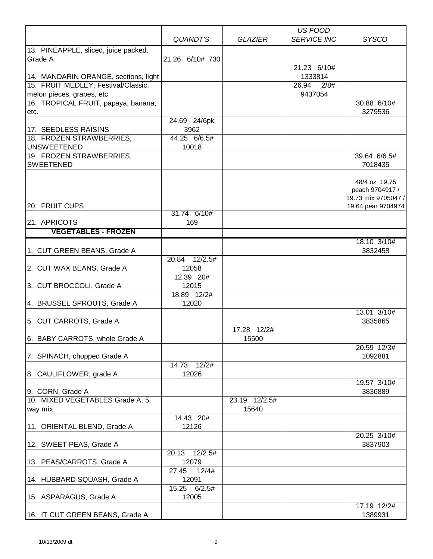|                                             |                  |                | US FOOD            |                        |
|---------------------------------------------|------------------|----------------|--------------------|------------------------|
|                                             | QUANDT'S         | <b>GLAZIER</b> | <b>SERVICE INC</b> | <b>SYSCO</b>           |
| 13. PINEAPPLE, sliced, juice packed,        |                  |                |                    |                        |
| Grade A                                     | 21.26 6/10# 730  |                |                    |                        |
|                                             |                  |                | 21.23 6/10#        |                        |
| 14. MANDARIN ORANGE, sections, light        |                  |                | 1333814            |                        |
| 15. FRUIT MEDLEY, Festival/Classic,         |                  |                | 26.94<br>2/8#      |                        |
| melon pieces, grapes, etc                   |                  |                | 9437054            |                        |
| 16. TROPICAL FRUIT, papaya, banana,<br>etc. |                  |                |                    | 30.88 6/10#<br>3279536 |
|                                             | 24.69 24/6pk     |                |                    |                        |
| 17. SEEDLESS RAISINS                        | 3962             |                |                    |                        |
| 18. FROZEN STRAWBERRIES,                    | 44.25 6/6.5#     |                |                    |                        |
| <b>UNSWEETENED</b>                          | 10018            |                |                    |                        |
| 19. FROZEN STRAWBERRIES,                    |                  |                |                    | 39.64 6/6.5#           |
| <b>SWEETENED</b>                            |                  |                |                    | 7018435                |
|                                             |                  |                |                    |                        |
|                                             |                  |                |                    | 48/4 oz 19.75          |
|                                             |                  |                |                    | peach 9704917 /        |
| 20. FRUIT CUPS                              |                  |                |                    | 19.73 mix 9705047 /    |
|                                             | 31.74 6/10#      |                |                    | 19.64 pear 9704974     |
| 21. APRICOTS                                | 169              |                |                    |                        |
| <b>VEGETABLES - FROZEN</b>                  |                  |                |                    |                        |
|                                             |                  |                |                    | 18.10 3/10#            |
| 1. CUT GREEN BEANS, Grade A                 |                  |                |                    | 3832458                |
|                                             | 20.84 12/2.5#    |                |                    |                        |
| 2. CUT WAX BEANS, Grade A                   | 12058            |                |                    |                        |
|                                             | 12.39 20#        |                |                    |                        |
| 3. CUT BROCCOLI, Grade A                    | 12015            |                |                    |                        |
|                                             | 18.89 12/2#      |                |                    |                        |
| 4. BRUSSEL SPROUTS, Grade A                 | 12020            |                |                    |                        |
|                                             |                  |                |                    | 13.01 3/10#            |
| 5. CUT CARROTS, Grade A                     |                  |                |                    | 3835865                |
|                                             |                  | 17.28 12/2#    |                    |                        |
| 6. BABY CARROTS, whole Grade A              |                  | 15500          |                    |                        |
|                                             |                  |                |                    | 20.59 12/3#            |
| 7. SPINACH, chopped Grade A                 | 14.73 12/2#      |                |                    | 1092881                |
| 8. CAULIFLOWER, grade A                     | 12026            |                |                    |                        |
|                                             |                  |                |                    | 19.57 3/10#            |
| 9. CORN, Grade A                            |                  |                |                    | 3836889                |
| 10. MIXED VEGETABLES Grade A, 5             |                  | 23.19 12/2.5#  |                    |                        |
| way mix                                     |                  | 15640          |                    |                        |
|                                             | 14.43 20#        |                |                    |                        |
| 11. ORIENTAL BLEND, Grade A                 | 12126            |                |                    |                        |
|                                             |                  |                |                    | 20.25 3/10#            |
| 12. SWEET PEAS, Grade A                     |                  |                |                    | 3837903                |
|                                             | 20.13<br>12/2.5# |                |                    |                        |
| 13. PEAS/CARROTS, Grade A                   | 12079            |                |                    |                        |
|                                             | 12/4#<br>27.45   |                |                    |                        |
| 14. HUBBARD SQUASH, Grade A                 | 12091            |                |                    |                        |
|                                             | 15.25<br>6/2.5#  |                |                    |                        |
| 15. ASPARAGUS, Grade A                      | 12005            |                |                    |                        |
| 16. IT CUT GREEN BEANS, Grade A             |                  |                |                    | 17.19 12/2#<br>1389931 |
|                                             |                  |                |                    |                        |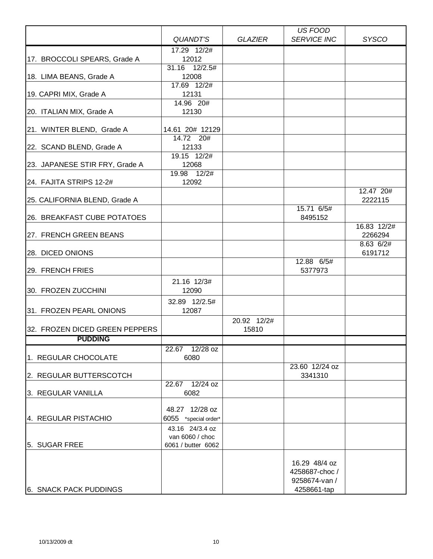|                                |                        |                | US FOOD                        |                      |
|--------------------------------|------------------------|----------------|--------------------------------|----------------------|
|                                | QUANDT'S               | <b>GLAZIER</b> | <b>SERVICE INC</b>             | <b>SYSCO</b>         |
|                                | 17.29 12/2#            |                |                                |                      |
| 17. BROCCOLI SPEARS, Grade A   | 12012                  |                |                                |                      |
|                                | 31.16 12/2.5#          |                |                                |                      |
| 18. LIMA BEANS, Grade A        | 12008                  |                |                                |                      |
|                                | 17.69 12/2#            |                |                                |                      |
| 19. CAPRI MIX, Grade A         | 12131                  |                |                                |                      |
|                                | 14.96 20#              |                |                                |                      |
| 20. ITALIAN MIX, Grade A       | 12130                  |                |                                |                      |
| 21. WINTER BLEND, Grade A      | 14.61 20# 12129        |                |                                |                      |
|                                | $\overline{14.72}$ 20# |                |                                |                      |
| 22. SCAND BLEND, Grade A       | 12133                  |                |                                |                      |
|                                | 19.15 12/2#            |                |                                |                      |
| 23. JAPANESE STIR FRY, Grade A | 12068                  |                |                                |                      |
|                                | 19.98 12/2#            |                |                                |                      |
| 24. FAJITA STRIPS 12-2#        | 12092                  |                |                                |                      |
|                                |                        |                |                                | 12.47 20#            |
| 25. CALIFORNIA BLEND, Grade A  |                        |                |                                | 2222115              |
|                                |                        |                | 15.71 6/5#                     |                      |
| 26. BREAKFAST CUBE POTATOES    |                        |                | 8495152                        |                      |
|                                |                        |                |                                | 16.83 12/2#          |
| 27. FRENCH GREEN BEANS         |                        |                |                                | 2266294              |
| 28. DICED ONIONS               |                        |                |                                | 8.63 6/2#<br>6191712 |
|                                |                        |                | 12.88 6/5#                     |                      |
| 29. FRENCH FRIES               |                        |                | 5377973                        |                      |
|                                | 21.16 12/3#            |                |                                |                      |
| 30. FROZEN ZUCCHINI            | 12090                  |                |                                |                      |
|                                |                        |                |                                |                      |
|                                | 32.89 12/2.5#<br>12087 |                |                                |                      |
| 31. FROZEN PEARL ONIONS        |                        |                |                                |                      |
| 32. FROZEN DICED GREEN PEPPERS |                        | 20.92 12/2#    |                                |                      |
|                                |                        | 15810          |                                |                      |
| <b>PUDDING</b>                 |                        |                |                                |                      |
| 1. REGULAR CHOCOLATE           | 22.67 12/28 oz<br>6080 |                |                                |                      |
|                                |                        |                | 23.60 12/24 oz                 |                      |
| 2. REGULAR BUTTERSCOTCH        |                        |                | 3341310                        |                      |
|                                | 22.67 12/24 oz         |                |                                |                      |
| 3. REGULAR VANILLA             | 6082                   |                |                                |                      |
|                                |                        |                |                                |                      |
|                                | 48.27 12/28 oz         |                |                                |                      |
| 4. REGULAR PISTACHIO           | 6055 *special order*   |                |                                |                      |
|                                | 43.16 24/3.4 oz        |                |                                |                      |
|                                | van 6060 / choc        |                |                                |                      |
| 5. SUGAR FREE                  | 6061 / butter 6062     |                |                                |                      |
|                                |                        |                |                                |                      |
|                                |                        |                | 16.29 48/4 oz<br>4258687-choc/ |                      |
|                                |                        |                | 9258674-van /                  |                      |
| 6. SNACK PACK PUDDINGS         |                        |                | 4258661-tap                    |                      |
|                                |                        |                |                                |                      |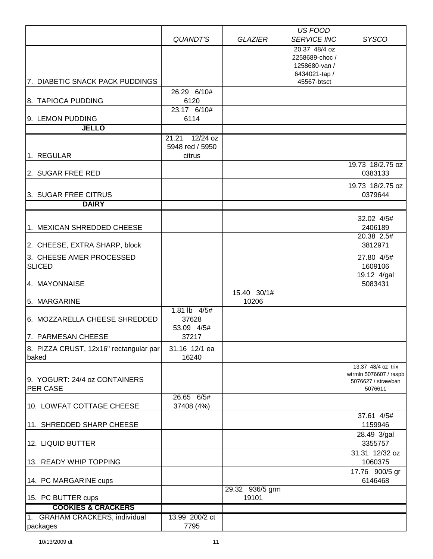|                                                 |                                        |                          | <b>US FOOD</b>                                                                   |                                                                                |
|-------------------------------------------------|----------------------------------------|--------------------------|----------------------------------------------------------------------------------|--------------------------------------------------------------------------------|
|                                                 | QUANDT'S                               | <b>GLAZIER</b>           | <b>SERVICE INC</b>                                                               | <b>SYSCO</b>                                                                   |
| 7. DIABETIC SNACK PACK PUDDINGS                 |                                        |                          | 20.37 48/4 oz<br>2258689-choc /<br>1258680-van /<br>6434021-tap /<br>45567-btsct |                                                                                |
|                                                 | 26.29 6/10#                            |                          |                                                                                  |                                                                                |
| 8. TAPIOCA PUDDING                              | 6120<br>23.17 6/10#                    |                          |                                                                                  |                                                                                |
| 9. LEMON PUDDING                                | 6114                                   |                          |                                                                                  |                                                                                |
| <b>JELLO</b>                                    |                                        |                          |                                                                                  |                                                                                |
|                                                 | $12/24$ oz<br>21.21<br>5948 red / 5950 |                          |                                                                                  |                                                                                |
| 1. REGULAR                                      | citrus                                 |                          |                                                                                  |                                                                                |
| 2. SUGAR FREE RED                               |                                        |                          |                                                                                  | 19.73 18/2.75 oz<br>0383133                                                    |
| 3. SUGAR FREE CITRUS                            |                                        |                          |                                                                                  | 19.73 18/2.75 oz<br>0379644                                                    |
| <b>DAIRY</b>                                    |                                        |                          |                                                                                  |                                                                                |
| 1. MEXICAN SHREDDED CHEESE                      |                                        |                          |                                                                                  | 32.02 4/5#<br>2406189                                                          |
| 2. CHEESE, EXTRA SHARP, block                   |                                        |                          |                                                                                  | 20.38 2.5#<br>3812971                                                          |
| 3. CHEESE AMER PROCESSED<br><b>SLICED</b>       |                                        |                          |                                                                                  | 27.80 4/5#<br>1609106                                                          |
| 4. MAYONNAISE                                   |                                        |                          |                                                                                  | 19.12 4/gal<br>5083431                                                         |
| 5. MARGARINE                                    |                                        | 15.40 30/1#<br>10206     |                                                                                  |                                                                                |
| 6. MOZZARELLA CHEESE SHREDDED                   | $1.81$ lb $4/5#$<br>37628              |                          |                                                                                  |                                                                                |
| 7. PARMESAN CHEESE                              | 53.09 4/5#<br>37217                    |                          |                                                                                  |                                                                                |
| 8. PIZZA CRUST, 12x16" rectangular par<br>baked | 31.16 12/1 ea<br>16240                 |                          |                                                                                  |                                                                                |
| 9. YOGURT: 24/4 oz CONTAINERS<br>PER CASE       |                                        |                          |                                                                                  | 13.37 48/4 oz trix<br>wtrmln 5076607 / raspb<br>5076627 / straw/ban<br>5076611 |
| 10. LOWFAT COTTAGE CHEESE                       | 26.65 6/5#<br>37408 (4%)               |                          |                                                                                  |                                                                                |
| 11. SHREDDED SHARP CHEESE                       |                                        |                          |                                                                                  | 37.61 4/5#<br>1159946                                                          |
| 12. LIQUID BUTTER                               |                                        |                          |                                                                                  | 28.49 3/gal<br>3355757                                                         |
| 13. READY WHIP TOPPING                          |                                        |                          |                                                                                  | 31.31 12/32 oz<br>1060375                                                      |
| 14. PC MARGARINE cups                           |                                        |                          |                                                                                  | 17.76 900/5 gr<br>6146468                                                      |
| 15. PC BUTTER cups                              |                                        | 29.32 936/5 grm<br>19101 |                                                                                  |                                                                                |
| <b>COOKIES &amp; CRACKERS</b>                   |                                        |                          |                                                                                  |                                                                                |
| 1. GRAHAM CRACKERS, individual<br>packages      | 13.99 200/2 ct<br>7795                 |                          |                                                                                  |                                                                                |
|                                                 |                                        |                          |                                                                                  |                                                                                |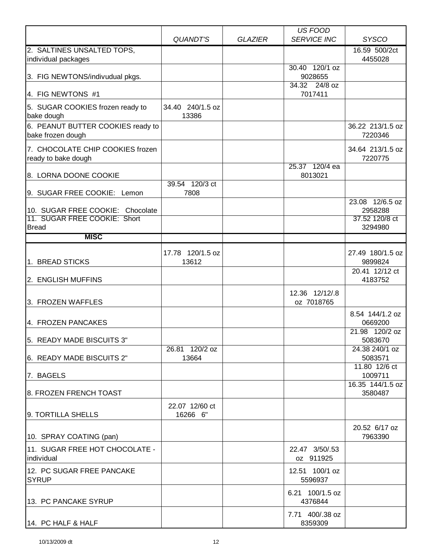|                                                                  |                            |                | <b>US FOOD</b>               |                             |
|------------------------------------------------------------------|----------------------------|----------------|------------------------------|-----------------------------|
|                                                                  | QUANDT'S                   | <b>GLAZIER</b> | <b>SERVICE INC</b>           | <b>SYSCO</b>                |
| 2. SALTINES UNSALTED TOPS,<br>individual packages                |                            |                |                              | 16.59 500/2ct<br>4455028    |
| 3. FIG NEWTONS/indivudual pkgs.                                  |                            |                | 30.40 120/1 oz<br>9028655    |                             |
|                                                                  |                            |                | 34.32 24/8 oz                |                             |
| 4. FIG NEWTONS #1                                                |                            |                | 7017411                      |                             |
| 5. SUGAR COOKIES frozen ready to<br>bake dough                   | 34.40 240/1.5 oz<br>13386  |                |                              |                             |
| 6. PEANUT BUTTER COOKIES ready to<br>bake frozen dough           |                            |                |                              | 36.22 213/1.5 oz<br>7220346 |
| 7. CHOCOLATE CHIP COOKIES frozen<br>ready to bake dough          |                            |                |                              | 34.64 213/1.5 oz<br>7220775 |
| 8. LORNA DOONE COOKIE                                            | 39.54 120/3 ct             |                | 25.37 120/4 ea<br>8013021    |                             |
| 9. SUGAR FREE COOKIE: Lemon                                      | 7808                       |                |                              | 23.08 12/6.5 oz             |
| 10. SUGAR FREE COOKIE: Chocolate<br>11. SUGAR FREE COOKIE: Short |                            |                |                              | 2958288<br>37.52 120/8 ct   |
| <b>Bread</b>                                                     |                            |                |                              | 3294980                     |
| <b>MISC</b>                                                      |                            |                |                              |                             |
|                                                                  |                            |                |                              | 27.49 180/1.5 oz            |
| 1. BREAD STICKS                                                  | 17.78 120/1.5 oz<br>13612  |                |                              | 9899824                     |
| 2. ENGLISH MUFFINS                                               |                            |                |                              | 20.41 12/12 ct<br>4183752   |
| 3. FROZEN WAFFLES                                                |                            |                | 12.36 12/12/.8<br>oz 7018765 |                             |
| 4. FROZEN PANCAKES                                               |                            |                |                              | 8.54 144/1.2 oz<br>0669200  |
| 5. READY MADE BISCUITS 3"                                        |                            |                |                              | 21.98 120/2 oz<br>5083670   |
| 6. READY MADE BISCUITS 2"                                        | 26.81 120/2 oz<br>13664    |                |                              | 24.38 240/1 oz<br>5083571   |
| 7. BAGELS                                                        |                            |                |                              | 11.80 12/6 ct<br>1009711    |
| 8. FROZEN FRENCH TOAST                                           |                            |                |                              | 16.35 144/1.5 oz<br>3580487 |
| 9. TORTILLA SHELLS                                               | 22.07 12/60 ct<br>16266 6" |                |                              |                             |
| 10. SPRAY COATING (pan)                                          |                            |                |                              | 20.52 6/17 oz<br>7963390    |
| 11. SUGAR FREE HOT CHOCOLATE -<br>individual                     |                            |                | 22.47 3/50/.53<br>oz 911925  |                             |
| 12. PC SUGAR FREE PANCAKE<br><b>SYRUP</b>                        |                            |                | 12.51 100/1 oz<br>5596937    |                             |
| 13. PC PANCAKE SYRUP                                             |                            |                | 6.21 100/1.5 oz<br>4376844   |                             |
| 14. PC HALF & HALF                                               |                            |                | 7.71 400/.38 oz<br>8359309   |                             |